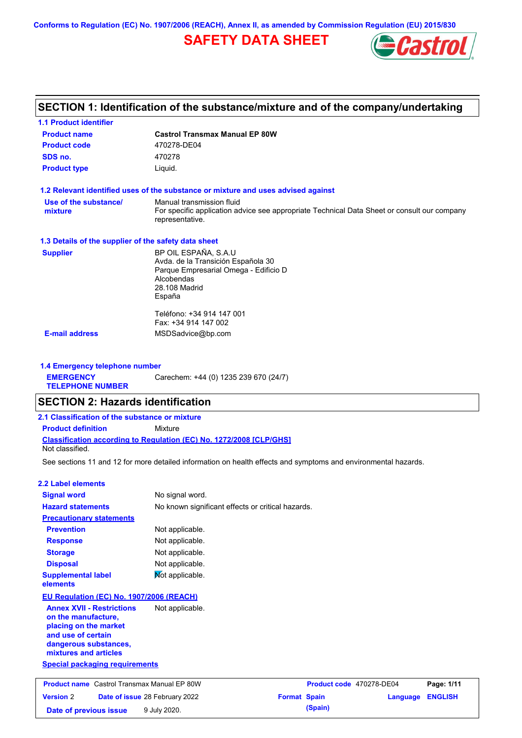**Conforms to Regulation (EC) No. 1907/2006 (REACH), Annex II, as amended by Commission Regulation (EU) 2015/830**

## **SAFETY DATA SHEET**



## **SECTION 1: Identification of the substance/mixture and of the company/undertaking**

| <b>1.1 Product identifier</b>                        |                                                                                                                |
|------------------------------------------------------|----------------------------------------------------------------------------------------------------------------|
| <b>Product name</b>                                  | <b>Castrol Transmax Manual EP 80W</b>                                                                          |
| <b>Product code</b>                                  | 470278-DE04                                                                                                    |
| SDS no.                                              | 470278                                                                                                         |
| <b>Product type</b>                                  | Liquid.                                                                                                        |
|                                                      | 1.2 Relevant identified uses of the substance or mixture and uses advised against                              |
| Use of the substance/                                | Manual transmission fluid                                                                                      |
| mixture                                              | For specific application advice see appropriate Technical Data Sheet or consult our company<br>representative. |
| 1.3 Details of the supplier of the safety data sheet |                                                                                                                |
| <b>Supplier</b>                                      | BP OIL ESPAÑA, S.A.U                                                                                           |
|                                                      | Avda. de la Transición Española 30                                                                             |
|                                                      | Parque Empresarial Omega - Edificio D                                                                          |
|                                                      | Alcobendas<br>28.108 Madrid                                                                                    |
|                                                      | España                                                                                                         |
|                                                      |                                                                                                                |
|                                                      | Teléfono: +34 914 147 001                                                                                      |
|                                                      | Fax: +34 914 147 002                                                                                           |
| <b>E-mail address</b>                                | MSDSadvice@bp.com                                                                                              |
|                                                      |                                                                                                                |

**1.4 Emergency telephone number EMERGENCY TELEPHONE NUMBER** Carechem: +44 (0) 1235 239 670 (24/7)

## **SECTION 2: Hazards identification**

**Date of previous issue 9 July 2020.** 

| 2.1 Classification of the substance or mixture |                                                                            |  |
|------------------------------------------------|----------------------------------------------------------------------------|--|
| <b>Product definition</b>                      | Mixture                                                                    |  |
| Not classified.                                | <b>Classification according to Regulation (EC) No. 1272/2008 ICLP/GHS1</b> |  |

See sections 11 and 12 for more detailed information on health effects and symptoms and environmental hazards.

### **2.2 Label elements**

| <b>Signal word</b>                                                                                                                                       | No signal word.                                   |                     |                          |          |                |
|----------------------------------------------------------------------------------------------------------------------------------------------------------|---------------------------------------------------|---------------------|--------------------------|----------|----------------|
| <b>Hazard statements</b>                                                                                                                                 | No known significant effects or critical hazards. |                     |                          |          |                |
| <b>Precautionary statements</b>                                                                                                                          |                                                   |                     |                          |          |                |
| <b>Prevention</b>                                                                                                                                        | Not applicable.                                   |                     |                          |          |                |
| <b>Response</b>                                                                                                                                          | Not applicable.                                   |                     |                          |          |                |
| <b>Storage</b>                                                                                                                                           | Not applicable.                                   |                     |                          |          |                |
| <b>Disposal</b>                                                                                                                                          | Not applicable.                                   |                     |                          |          |                |
| <b>Supplemental label</b><br><b>elements</b>                                                                                                             | Not applicable.                                   |                     |                          |          |                |
| EU Regulation (EC) No. 1907/2006 (REACH)                                                                                                                 |                                                   |                     |                          |          |                |
| <b>Annex XVII - Restrictions</b><br>on the manufacture.<br>placing on the market<br>and use of certain<br>dangerous substances,<br>mixtures and articles | Not applicable.                                   |                     |                          |          |                |
| <b>Special packaging requirements</b>                                                                                                                    |                                                   |                     |                          |          |                |
| <b>Product name</b> Castrol Transmax Manual EP 80W                                                                                                       |                                                   |                     | Product code 470278-DE04 |          | Page: 1/11     |
| <b>Version 2</b><br>Date of issue 28 February 2022                                                                                                       |                                                   | <b>Format Spain</b> |                          | Language | <b>ENGLISH</b> |

|                     | Product code 470278-DE04 |                         | Page: 1/11 |
|---------------------|--------------------------|-------------------------|------------|
| <b>Format Spain</b> |                          | <b>Language ENGLISH</b> |            |
|                     | (Spain)                  |                         |            |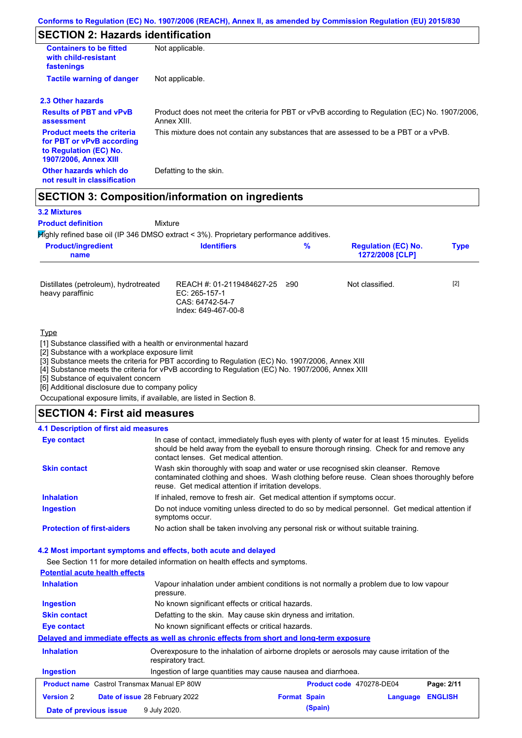## **SECTION 2: Hazards identification**

| <b>Containers to be fitted</b><br>Not applicable.<br>with child-resistant<br>fastenings<br><b>Tactile warning of danger</b><br>Not applicable.<br><b>Results of PBT and vPvB</b><br>Annex XIII.<br>assessment<br><b>Product meets the criteria</b><br>This mixture does not contain any substances that are assessed to be a PBT or a vPvB.<br>for PBT or vPvB according<br>to Regulation (EC) No.<br><b>1907/2006, Annex XIII</b><br>Other hazards which do<br>Defatting to the skin.<br>not result in classification |                                                                                                |
|------------------------------------------------------------------------------------------------------------------------------------------------------------------------------------------------------------------------------------------------------------------------------------------------------------------------------------------------------------------------------------------------------------------------------------------------------------------------------------------------------------------------|------------------------------------------------------------------------------------------------|
|                                                                                                                                                                                                                                                                                                                                                                                                                                                                                                                        |                                                                                                |
| 2.3 Other hazards                                                                                                                                                                                                                                                                                                                                                                                                                                                                                                      |                                                                                                |
|                                                                                                                                                                                                                                                                                                                                                                                                                                                                                                                        |                                                                                                |
|                                                                                                                                                                                                                                                                                                                                                                                                                                                                                                                        | Product does not meet the criteria for PBT or vPvB according to Regulation (EC) No. 1907/2006, |
|                                                                                                                                                                                                                                                                                                                                                                                                                                                                                                                        |                                                                                                |
|                                                                                                                                                                                                                                                                                                                                                                                                                                                                                                                        |                                                                                                |

## **SECTION 3: Composition/information on ingredients**

Mixture

## **3.2 Mixtures**

**Product definition**

Highly refined base oil (IP 346 DMSO extract < 3%). Proprietary performance additives.

| <b>Product/ingredient</b><br>name                         | <b>Identifiers</b>                                                                   | $\%$ | <b>Regulation (EC) No.</b><br>1272/2008 [CLP] | <b>Type</b> |
|-----------------------------------------------------------|--------------------------------------------------------------------------------------|------|-----------------------------------------------|-------------|
| Distillates (petroleum), hydrotreated<br>heavy paraffinic | REACH #: 01-2119484627-25<br>EC: 265-157-1<br>CAS: 64742-54-7<br>Index: 649-467-00-8 | ≥90  | Not classified.                               | $[2]$       |
| <b>Type</b><br>$\mathbf{r}$                               |                                                                                      |      |                                               |             |

[1] Substance classified with a health or environmental hazard

[2] Substance with a workplace exposure limit

[3] Substance meets the criteria for PBT according to Regulation (EC) No. 1907/2006, Annex XIII

[4] Substance meets the criteria for vPvB according to Regulation (EC) No. 1907/2006, Annex XIII

[5] Substance of equivalent concern

[6] Additional disclosure due to company policy

Occupational exposure limits, if available, are listed in Section 8.

### **SECTION 4: First aid measures**

### **4.1 Description of first aid measures**

| <b>Eye contact</b>                | In case of contact, immediately flush eyes with plenty of water for at least 15 minutes. Eyelids<br>should be held away from the eyeball to ensure thorough rinsing. Check for and remove any<br>contact lenses. Get medical attention. |
|-----------------------------------|-----------------------------------------------------------------------------------------------------------------------------------------------------------------------------------------------------------------------------------------|
| <b>Skin contact</b>               | Wash skin thoroughly with soap and water or use recognised skin cleanser. Remove<br>contaminated clothing and shoes. Wash clothing before reuse. Clean shoes thoroughly before<br>reuse. Get medical attention if irritation develops.  |
| <b>Inhalation</b>                 | If inhaled, remove to fresh air. Get medical attention if symptoms occur.                                                                                                                                                               |
| <b>Ingestion</b>                  | Do not induce vomiting unless directed to do so by medical personnel. Get medical attention if<br>symptoms occur.                                                                                                                       |
| <b>Protection of first-aiders</b> | No action shall be taken involving any personal risk or without suitable training.                                                                                                                                                      |

#### **4.2 Most important symptoms and effects, both acute and delayed**

See Section 11 for more detailed information on health effects and symptoms.

|                                       | ooo oodion 111101 moro doldiiba imomialion on nodilii onoolo dha oyniplomo.                                       |                     |                          |          |                |
|---------------------------------------|-------------------------------------------------------------------------------------------------------------------|---------------------|--------------------------|----------|----------------|
| <b>Potential acute health effects</b> |                                                                                                                   |                     |                          |          |                |
| <b>Inhalation</b>                     | Vapour inhalation under ambient conditions is not normally a problem due to low vapour<br>pressure.               |                     |                          |          |                |
| <b>Ingestion</b>                      | No known significant effects or critical hazards.                                                                 |                     |                          |          |                |
| <b>Skin contact</b>                   | Defatting to the skin. May cause skin dryness and irritation.                                                     |                     |                          |          |                |
| Eye contact                           | No known significant effects or critical hazards.                                                                 |                     |                          |          |                |
|                                       | Delayed and immediate effects as well as chronic effects from short and long-term exposure                        |                     |                          |          |                |
| <b>Inhalation</b>                     | Overexposure to the inhalation of airborne droplets or aerosols may cause irritation of the<br>respiratory tract. |                     |                          |          |                |
| <b>Ingestion</b>                      | Ingestion of large quantities may cause nausea and diarrhoea.                                                     |                     |                          |          |                |
|                                       | <b>Product name</b> Castrol Transmax Manual EP 80W                                                                |                     | Product code 470278-DE04 |          | Page: 2/11     |
| <b>Version 2</b>                      | Date of issue 28 February 2022                                                                                    | <b>Format Spain</b> |                          | Language | <b>ENGLISH</b> |
| Date of previous issue                | 9 July 2020.                                                                                                      |                     | (Spain)                  |          |                |
|                                       |                                                                                                                   |                     |                          |          |                |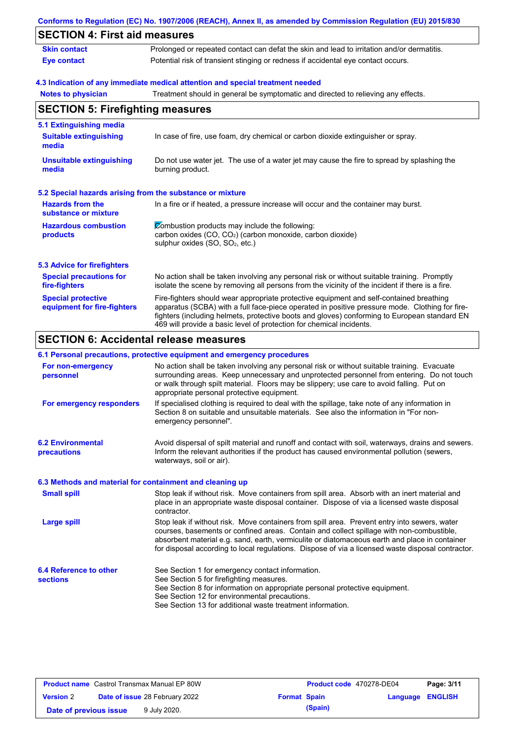|                                                           | Conforms to Regulation (EC) No. 1907/2006 (REACH), Annex II, as amended by Commission Regulation (EU) 2015/830                                                                                                                                                                                                                                                    |
|-----------------------------------------------------------|-------------------------------------------------------------------------------------------------------------------------------------------------------------------------------------------------------------------------------------------------------------------------------------------------------------------------------------------------------------------|
| <b>SECTION 4: First aid measures</b>                      |                                                                                                                                                                                                                                                                                                                                                                   |
| <b>Skin contact</b>                                       | Prolonged or repeated contact can defat the skin and lead to irritation and/or dermatitis.                                                                                                                                                                                                                                                                        |
| <b>Eye contact</b>                                        | Potential risk of transient stinging or redness if accidental eye contact occurs.                                                                                                                                                                                                                                                                                 |
|                                                           | 4.3 Indication of any immediate medical attention and special treatment needed                                                                                                                                                                                                                                                                                    |
| <b>Notes to physician</b>                                 | Treatment should in general be symptomatic and directed to relieving any effects.                                                                                                                                                                                                                                                                                 |
| <b>SECTION 5: Firefighting measures</b>                   |                                                                                                                                                                                                                                                                                                                                                                   |
| 5.1 Extinguishing media                                   |                                                                                                                                                                                                                                                                                                                                                                   |
| <b>Suitable extinguishing</b><br>media                    | In case of fire, use foam, dry chemical or carbon dioxide extinguisher or spray.                                                                                                                                                                                                                                                                                  |
| <b>Unsuitable extinguishing</b><br>media                  | Do not use water jet. The use of a water jet may cause the fire to spread by splashing the<br>burning product.                                                                                                                                                                                                                                                    |
| 5.2 Special hazards arising from the substance or mixture |                                                                                                                                                                                                                                                                                                                                                                   |
| <b>Hazards from the</b><br>substance or mixture           | In a fire or if heated, a pressure increase will occur and the container may burst.                                                                                                                                                                                                                                                                               |
| <b>Hazardous combustion</b>                               | Combustion products may include the following:                                                                                                                                                                                                                                                                                                                    |
| products                                                  | carbon oxides (CO, CO <sub>2</sub> ) (carbon monoxide, carbon dioxide)<br>sulphur oxides (SO, SO <sub>2</sub> , etc.)                                                                                                                                                                                                                                             |
| <b>5.3 Advice for firefighters</b>                        |                                                                                                                                                                                                                                                                                                                                                                   |
| <b>Special precautions for</b><br>fire-fighters           | No action shall be taken involving any personal risk or without suitable training. Promptly<br>isolate the scene by removing all persons from the vicinity of the incident if there is a fire.                                                                                                                                                                    |
| <b>Special protective</b><br>equipment for fire-fighters  | Fire-fighters should wear appropriate protective equipment and self-contained breathing<br>apparatus (SCBA) with a full face-piece operated in positive pressure mode. Clothing for fire-<br>fighters (including helmets, protective boots and gloves) conforming to European standard EN<br>469 will provide a basic level of protection for chemical incidents. |
| <b>SECTION 6: Accidental release measures</b>             |                                                                                                                                                                                                                                                                                                                                                                   |
|                                                           | 6.1 Personal precautions, protective equipment and emergency procedures                                                                                                                                                                                                                                                                                           |
|                                                           | and contained a set of the set of the set of the following the set of the set of the set of the set of the set of the set of the set of the set of the set of the set of the set of the set of the set of the set of the set o                                                                                                                                    |

| For non-emergency<br>personnel                           | No action shall be taken involving any personal risk or without suitable training. Evacuate<br>surrounding areas. Keep unnecessary and unprotected personnel from entering. Do not touch<br>or walk through spilt material. Floors may be slippery; use care to avoid falling. Put on<br>appropriate personal protective equipment.                                                            |
|----------------------------------------------------------|------------------------------------------------------------------------------------------------------------------------------------------------------------------------------------------------------------------------------------------------------------------------------------------------------------------------------------------------------------------------------------------------|
| For emergency responders                                 | If specialised clothing is required to deal with the spillage, take note of any information in<br>Section 8 on suitable and unsuitable materials. See also the information in "For non-<br>emergency personnel".                                                                                                                                                                               |
| <b>6.2 Environmental</b><br>precautions                  | Avoid dispersal of spilt material and runoff and contact with soil, waterways, drains and sewers.<br>Inform the relevant authorities if the product has caused environmental pollution (sewers,<br>waterways, soil or air).                                                                                                                                                                    |
| 6.3 Methods and material for containment and cleaning up |                                                                                                                                                                                                                                                                                                                                                                                                |
| <b>Small spill</b>                                       | Stop leak if without risk. Move containers from spill area. Absorb with an inert material and<br>place in an appropriate waste disposal container. Dispose of via a licensed waste disposal<br>contractor.                                                                                                                                                                                     |
| <b>Large spill</b>                                       | Stop leak if without risk. Move containers from spill area. Prevent entry into sewers, water<br>courses, basements or confined areas. Contain and collect spillage with non-combustible,<br>absorbent material e.g. sand, earth, vermiculite or diatomaceous earth and place in container<br>for disposal according to local regulations. Dispose of via a licensed waste disposal contractor. |
| 6.4 Reference to other                                   | See Section 1 for emergency contact information.                                                                                                                                                                                                                                                                                                                                               |
| <b>sections</b>                                          | See Section 5 for firefighting measures.                                                                                                                                                                                                                                                                                                                                                       |
|                                                          | See Section 8 for information on appropriate personal protective equipment.                                                                                                                                                                                                                                                                                                                    |
|                                                          | See Section 12 for environmental precautions.                                                                                                                                                                                                                                                                                                                                                  |
|                                                          | See Section 13 for additional waste treatment information.                                                                                                                                                                                                                                                                                                                                     |

| <b>Product name</b> Castrol Transmax Manual EP 80W |  | Product code 470278-DE04              |                     | Page: 3/11 |                         |  |
|----------------------------------------------------|--|---------------------------------------|---------------------|------------|-------------------------|--|
| <b>Version 2</b>                                   |  | <b>Date of issue 28 February 2022</b> | <b>Format Spain</b> |            | <b>Language ENGLISH</b> |  |
| Date of previous issue                             |  | 9 July 2020.                          |                     | (Spain)    |                         |  |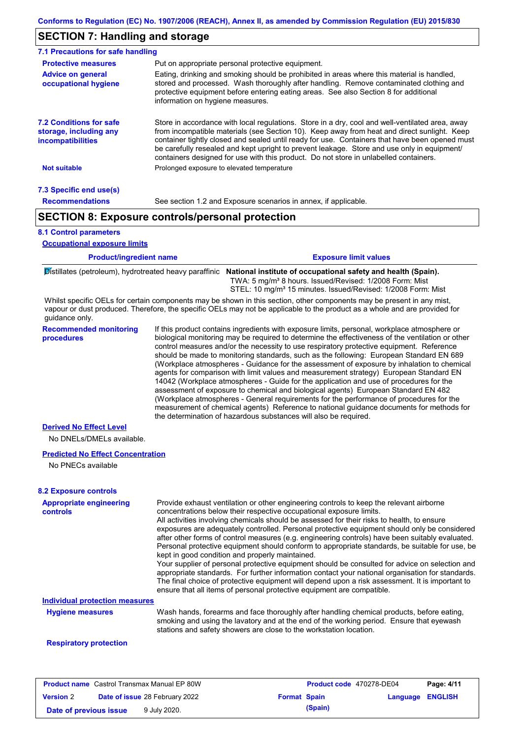## **SECTION 7: Handling and storage**

| 7.1 Precautions for safe handling                                                    |                                                                                                                                                                                                                                                                                                                                                                                                                                                                                          |
|--------------------------------------------------------------------------------------|------------------------------------------------------------------------------------------------------------------------------------------------------------------------------------------------------------------------------------------------------------------------------------------------------------------------------------------------------------------------------------------------------------------------------------------------------------------------------------------|
| <b>Protective measures</b>                                                           | Put on appropriate personal protective equipment.                                                                                                                                                                                                                                                                                                                                                                                                                                        |
| <b>Advice on general</b><br>occupational hygiene                                     | Eating, drinking and smoking should be prohibited in areas where this material is handled,<br>stored and processed. Wash thoroughly after handling. Remove contaminated clothing and<br>protective equipment before entering eating areas. See also Section 8 for additional<br>information on hygiene measures.                                                                                                                                                                         |
| <b>7.2 Conditions for safe</b><br>storage, including any<br><i>incompatibilities</i> | Store in accordance with local regulations. Store in a dry, cool and well-ventilated area, away<br>from incompatible materials (see Section 10). Keep away from heat and direct sunlight. Keep<br>container tightly closed and sealed until ready for use. Containers that have been opened must<br>be carefully resealed and kept upright to prevent leakage. Store and use only in equipment/<br>containers designed for use with this product. Do not store in unlabelled containers. |
| <b>Not suitable</b>                                                                  | Prolonged exposure to elevated temperature                                                                                                                                                                                                                                                                                                                                                                                                                                               |
| 7.3 Specific end use(s)                                                              |                                                                                                                                                                                                                                                                                                                                                                                                                                                                                          |
| <b>Recommendations</b>                                                               | See section 1.2 and Exposure scenarios in annex, if applicable.                                                                                                                                                                                                                                                                                                                                                                                                                          |
|                                                                                      | <b>SECTION 8: Exposure controls/personal protection</b>                                                                                                                                                                                                                                                                                                                                                                                                                                  |

#### **8.1 Control parameters**

**Occupational exposure limits**

| <b>Product/ingredient name</b> | <b>Exposure limit values</b> |
|--------------------------------|------------------------------|
|                                |                              |

Distillates (petroleum), hydrotreated heavy paraffinic **National institute of occupational safety and health (Spain).** TWA: 5 mg/m³ 8 hours. Issued/Revised: 1/2008 Form: Mist STEL: 10 mg/m<sup>3</sup> 15 minutes. Issued/Revised: 1/2008 Form: Mist

Whilst specific OELs for certain components may be shown in this section, other components may be present in any mist, vapour or dust produced. Therefore, the specific OELs may not be applicable to the product as a whole and are provided for guidance only.

**Recommended monitoring procedures** If this product contains ingredients with exposure limits, personal, workplace atmosphere or biological monitoring may be required to determine the effectiveness of the ventilation or other control measures and/or the necessity to use respiratory protective equipment. Reference should be made to monitoring standards, such as the following: European Standard EN 689 (Workplace atmospheres - Guidance for the assessment of exposure by inhalation to chemical agents for comparison with limit values and measurement strategy) European Standard EN 14042 (Workplace atmospheres - Guide for the application and use of procedures for the assessment of exposure to chemical and biological agents) European Standard EN 482 (Workplace atmospheres - General requirements for the performance of procedures for the measurement of chemical agents) Reference to national guidance documents for methods for the determination of hazardous substances will also be required.

#### **Derived No Effect Level**

No DNELs/DMELs available.

#### **Predicted No Effect Concentration**

No PNECs available

#### **8.2 Exposure controls**

| <b>Appropriate engineering</b><br>controls | Provide exhaust ventilation or other engineering controls to keep the relevant airborne<br>concentrations below their respective occupational exposure limits.<br>All activities involving chemicals should be assessed for their risks to health, to ensure<br>exposures are adequately controlled. Personal protective equipment should only be considered<br>after other forms of control measures (e.g. engineering controls) have been suitably evaluated.<br>Personal protective equipment should conform to appropriate standards, be suitable for use, be<br>kept in good condition and properly maintained.<br>Your supplier of personal protective equipment should be consulted for advice on selection and<br>appropriate standards. For further information contact your national organisation for standards.<br>The final choice of protective equipment will depend upon a risk assessment. It is important to<br>ensure that all items of personal protective equipment are compatible. |
|--------------------------------------------|---------------------------------------------------------------------------------------------------------------------------------------------------------------------------------------------------------------------------------------------------------------------------------------------------------------------------------------------------------------------------------------------------------------------------------------------------------------------------------------------------------------------------------------------------------------------------------------------------------------------------------------------------------------------------------------------------------------------------------------------------------------------------------------------------------------------------------------------------------------------------------------------------------------------------------------------------------------------------------------------------------|
| <b>Individual protection measures</b>      |                                                                                                                                                                                                                                                                                                                                                                                                                                                                                                                                                                                                                                                                                                                                                                                                                                                                                                                                                                                                         |
| <b>Hygiene measures</b>                    | Wash hands, forearms and face thoroughly after handling chemical products, before eating,<br>smoking and using the lavatory and at the end of the working period. Ensure that eyewash<br>stations and safety showers are close to the workstation location.                                                                                                                                                                                                                                                                                                                                                                                                                                                                                                                                                                                                                                                                                                                                             |
|                                            |                                                                                                                                                                                                                                                                                                                                                                                                                                                                                                                                                                                                                                                                                                                                                                                                                                                                                                                                                                                                         |

#### **Respiratory protection**

| <b>Product name</b> Castrol Transmax Manual EP 80W |  |                                       |                     | <b>Product code</b> 470278-DE04 |                         | Page: 4/11 |
|----------------------------------------------------|--|---------------------------------------|---------------------|---------------------------------|-------------------------|------------|
| <b>Version 2</b>                                   |  | <b>Date of issue 28 February 2022</b> | <b>Format Spain</b> |                                 | <b>Language ENGLISH</b> |            |
| Date of previous issue                             |  | 9 July 2020.                          |                     | (Spain)                         |                         |            |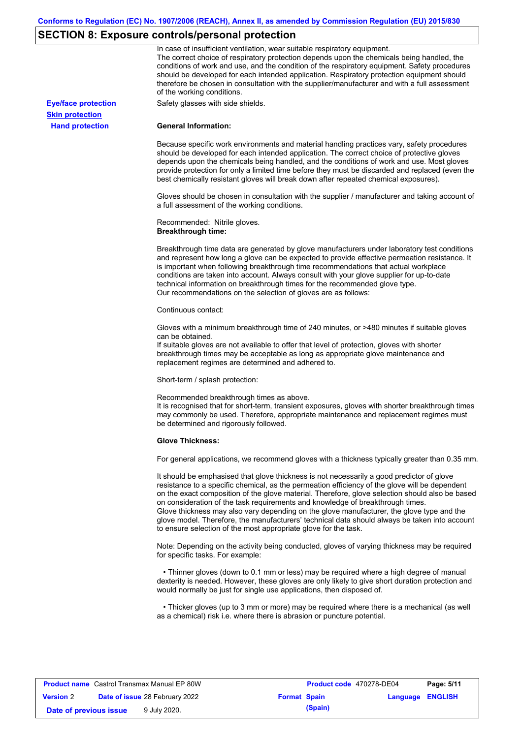## **SECTION 8: Exposure controls/personal protection**

|                            | In case of insufficient ventilation, wear suitable respiratory equipment.<br>The correct choice of respiratory protection depends upon the chemicals being handled, the<br>conditions of work and use, and the condition of the respiratory equipment. Safety procedures<br>should be developed for each intended application. Respiratory protection equipment should<br>therefore be chosen in consultation with the supplier/manufacturer and with a full assessment<br>of the working conditions.                                                                                                                                             |
|----------------------------|---------------------------------------------------------------------------------------------------------------------------------------------------------------------------------------------------------------------------------------------------------------------------------------------------------------------------------------------------------------------------------------------------------------------------------------------------------------------------------------------------------------------------------------------------------------------------------------------------------------------------------------------------|
| <b>Eye/face protection</b> | Safety glasses with side shields.                                                                                                                                                                                                                                                                                                                                                                                                                                                                                                                                                                                                                 |
| <b>Skin protection</b>     |                                                                                                                                                                                                                                                                                                                                                                                                                                                                                                                                                                                                                                                   |
| <b>Hand protection</b>     | <b>General Information:</b>                                                                                                                                                                                                                                                                                                                                                                                                                                                                                                                                                                                                                       |
|                            | Because specific work environments and material handling practices vary, safety procedures<br>should be developed for each intended application. The correct choice of protective gloves<br>depends upon the chemicals being handled, and the conditions of work and use. Most gloves<br>provide protection for only a limited time before they must be discarded and replaced (even the<br>best chemically resistant gloves will break down after repeated chemical exposures).                                                                                                                                                                  |
|                            | Gloves should be chosen in consultation with the supplier / manufacturer and taking account of<br>a full assessment of the working conditions.                                                                                                                                                                                                                                                                                                                                                                                                                                                                                                    |
|                            | Recommended: Nitrile gloves.<br><b>Breakthrough time:</b>                                                                                                                                                                                                                                                                                                                                                                                                                                                                                                                                                                                         |
|                            | Breakthrough time data are generated by glove manufacturers under laboratory test conditions<br>and represent how long a glove can be expected to provide effective permeation resistance. It<br>is important when following breakthrough time recommendations that actual workplace<br>conditions are taken into account. Always consult with your glove supplier for up-to-date<br>technical information on breakthrough times for the recommended glove type.<br>Our recommendations on the selection of gloves are as follows:                                                                                                                |
|                            | Continuous contact:                                                                                                                                                                                                                                                                                                                                                                                                                                                                                                                                                                                                                               |
|                            | Gloves with a minimum breakthrough time of 240 minutes, or >480 minutes if suitable gloves<br>can be obtained.<br>If suitable gloves are not available to offer that level of protection, gloves with shorter<br>breakthrough times may be acceptable as long as appropriate glove maintenance and<br>replacement regimes are determined and adhered to.                                                                                                                                                                                                                                                                                          |
|                            | Short-term / splash protection:                                                                                                                                                                                                                                                                                                                                                                                                                                                                                                                                                                                                                   |
|                            | Recommended breakthrough times as above.<br>It is recognised that for short-term, transient exposures, gloves with shorter breakthrough times<br>may commonly be used. Therefore, appropriate maintenance and replacement regimes must<br>be determined and rigorously followed.                                                                                                                                                                                                                                                                                                                                                                  |
|                            | <b>Glove Thickness:</b>                                                                                                                                                                                                                                                                                                                                                                                                                                                                                                                                                                                                                           |
|                            | For general applications, we recommend gloves with a thickness typically greater than 0.35 mm.                                                                                                                                                                                                                                                                                                                                                                                                                                                                                                                                                    |
|                            | It should be emphasised that glove thickness is not necessarily a good predictor of glove<br>resistance to a specific chemical, as the permeation efficiency of the glove will be dependent<br>on the exact composition of the glove material. Therefore, glove selection should also be based<br>on consideration of the task requirements and knowledge of breakthrough times.<br>Glove thickness may also vary depending on the glove manufacturer, the glove type and the<br>glove model. Therefore, the manufacturers' technical data should always be taken into account<br>to ensure selection of the most appropriate glove for the task. |
|                            | Note: Depending on the activity being conducted, gloves of varying thickness may be required<br>for specific tasks. For example:                                                                                                                                                                                                                                                                                                                                                                                                                                                                                                                  |
|                            | • Thinner gloves (down to 0.1 mm or less) may be required where a high degree of manual<br>dexterity is needed. However, these gloves are only likely to give short duration protection and<br>would normally be just for single use applications, then disposed of.                                                                                                                                                                                                                                                                                                                                                                              |
|                            | • Thicker gloves (up to 3 mm or more) may be required where there is a mechanical (as well<br>as a chemical) risk i.e. where there is abrasion or puncture potential.                                                                                                                                                                                                                                                                                                                                                                                                                                                                             |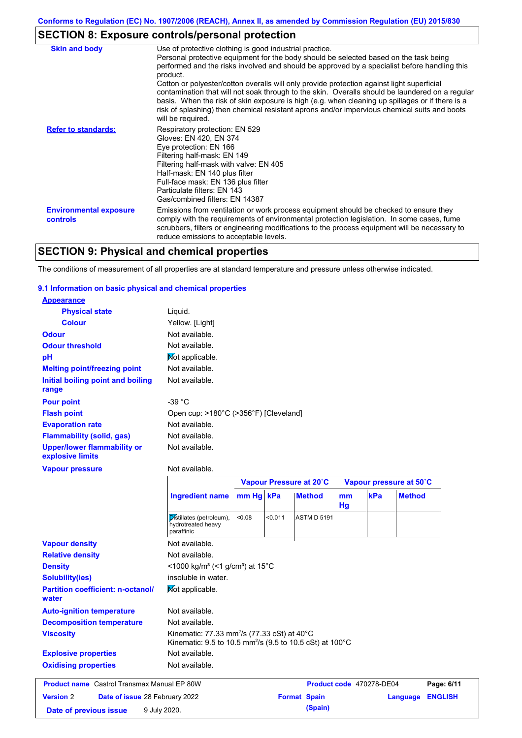## **SECTION 8: Exposure controls/personal protection**

| <b>Skin and body</b>                             | Use of protective clothing is good industrial practice.                                                                                                                                                                                                                                                                                                                                                                                                                                                                                                                                                                    |
|--------------------------------------------------|----------------------------------------------------------------------------------------------------------------------------------------------------------------------------------------------------------------------------------------------------------------------------------------------------------------------------------------------------------------------------------------------------------------------------------------------------------------------------------------------------------------------------------------------------------------------------------------------------------------------------|
|                                                  | Personal protective equipment for the body should be selected based on the task being<br>performed and the risks involved and should be approved by a specialist before handling this<br>product.<br>Cotton or polyester/cotton overalls will only provide protection against light superficial<br>contamination that will not soak through to the skin. Overalls should be laundered on a regular<br>basis. When the risk of skin exposure is high (e.g. when cleaning up spillages or if there is a<br>risk of splashing) then chemical resistant aprons and/or impervious chemical suits and boots<br>will be required. |
| <b>Refer to standards:</b>                       | Respiratory protection: EN 529<br>Gloves: EN 420, EN 374<br>Eye protection: EN 166<br>Filtering half-mask: EN 149<br>Filtering half-mask with valve: EN 405<br>Half-mask: EN 140 plus filter<br>Full-face mask: EN 136 plus filter<br>Particulate filters: EN 143<br>Gas/combined filters: EN 14387                                                                                                                                                                                                                                                                                                                        |
| <b>Environmental exposure</b><br><b>controls</b> | Emissions from ventilation or work process equipment should be checked to ensure they<br>comply with the requirements of environmental protection legislation. In some cases, fume<br>scrubbers, filters or engineering modifications to the process equipment will be necessary to<br>reduce emissions to acceptable levels.                                                                                                                                                                                                                                                                                              |

## **SECTION 9: Physical and chemical properties**

The conditions of measurement of all properties are at standard temperature and pressure unless otherwise indicated.

#### **9.1 Information on basic physical and chemical properties**

| <b>Appearance</b>                                      |                                                                                                                                 |           |         |                         |          |     |                         |
|--------------------------------------------------------|---------------------------------------------------------------------------------------------------------------------------------|-----------|---------|-------------------------|----------|-----|-------------------------|
| <b>Physical state</b>                                  | Liquid.                                                                                                                         |           |         |                         |          |     |                         |
| <b>Colour</b>                                          | Yellow. [Light]                                                                                                                 |           |         |                         |          |     |                         |
| <b>Odour</b>                                           | Not available.                                                                                                                  |           |         |                         |          |     |                         |
| <b>Odour threshold</b>                                 | Not available.                                                                                                                  |           |         |                         |          |     |                         |
| pH                                                     | Not applicable.                                                                                                                 |           |         |                         |          |     |                         |
| <b>Melting point/freezing point</b>                    | Not available.                                                                                                                  |           |         |                         |          |     |                         |
| Initial boiling point and boiling<br>range             | Not available.                                                                                                                  |           |         |                         |          |     |                         |
| <b>Pour point</b>                                      | $-39 °C$                                                                                                                        |           |         |                         |          |     |                         |
| <b>Flash point</b>                                     | Open cup: >180°C (>356°F) [Cleveland]                                                                                           |           |         |                         |          |     |                         |
| <b>Evaporation rate</b>                                | Not available.                                                                                                                  |           |         |                         |          |     |                         |
| <b>Flammability (solid, gas)</b>                       | Not available.                                                                                                                  |           |         |                         |          |     |                         |
| <b>Upper/lower flammability or</b><br>explosive limits | Not available.                                                                                                                  |           |         |                         |          |     |                         |
| <b>Vapour pressure</b>                                 | Not available.                                                                                                                  |           |         |                         |          |     |                         |
|                                                        |                                                                                                                                 |           |         |                         |          |     |                         |
|                                                        |                                                                                                                                 |           |         | Vapour Pressure at 20°C |          |     | Vapour pressure at 50°C |
|                                                        | <b>Ingredient name</b>                                                                                                          | mm Hg kPa |         | <b>Method</b>           | mm<br>Hg | kPa | <b>Method</b>           |
|                                                        | Distillates (petroleum),<br>hydrotreated heavy<br>paraffinic                                                                    | < 0.08    | < 0.011 | <b>ASTM D 5191</b>      |          |     |                         |
| <b>Vapour density</b>                                  | Not available.                                                                                                                  |           |         |                         |          |     |                         |
| <b>Relative density</b>                                | Not available.                                                                                                                  |           |         |                         |          |     |                         |
| <b>Density</b>                                         | <1000 kg/m <sup>3</sup> (<1 g/cm <sup>3</sup> ) at 15 <sup>°</sup> C                                                            |           |         |                         |          |     |                         |
| Solubility(ies)                                        | insoluble in water.                                                                                                             |           |         |                         |          |     |                         |
| <b>Partition coefficient: n-octanol/</b><br>water      | Mot applicable.                                                                                                                 |           |         |                         |          |     |                         |
| <b>Auto-ignition temperature</b>                       | Not available.                                                                                                                  |           |         |                         |          |     |                         |
| <b>Decomposition temperature</b>                       | Not available.                                                                                                                  |           |         |                         |          |     |                         |
| <b>Viscosity</b>                                       | Kinematic: 77.33 mm <sup>2</sup> /s (77.33 cSt) at 40°C<br>Kinematic: 9.5 to 10.5 mm <sup>2</sup> /s (9.5 to 10.5 cSt) at 100°C |           |         |                         |          |     |                         |

### **Explosive properties Oxidising properties** Not available.

|                        | <b>Product name</b> Castrol Transmax Manual EP 80W |                     | Product code 470278-DE04 |                         | Page: 6/11 |
|------------------------|----------------------------------------------------|---------------------|--------------------------|-------------------------|------------|
| <b>Version 2</b>       | <b>Date of issue 28 February 2022</b>              | <b>Format Spain</b> |                          | <b>Language ENGLISH</b> |            |
| Date of previous issue | 9 July 2020.                                       |                     | (Spain)                  |                         |            |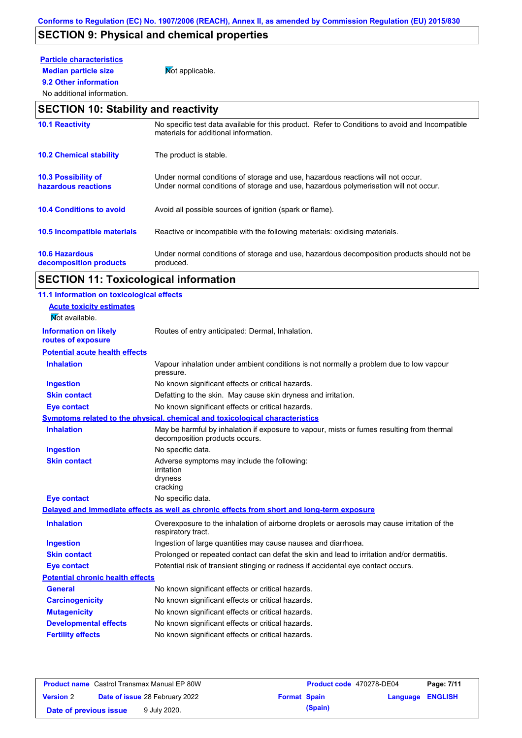## **SECTION 9: Physical and chemical properties**

## **Particle characteristics**

**9.2 Other information**

**Median particle size** Not applicable.

### No additional information.

## **SECTION 10: Stability and reactivity**

| <b>10.1 Reactivity</b>                            | No specific test data available for this product. Refer to Conditions to avoid and Incompatible<br>materials for additional information.                                |
|---------------------------------------------------|-------------------------------------------------------------------------------------------------------------------------------------------------------------------------|
| <b>10.2 Chemical stability</b>                    | The product is stable.                                                                                                                                                  |
| <b>10.3 Possibility of</b><br>hazardous reactions | Under normal conditions of storage and use, hazardous reactions will not occur.<br>Under normal conditions of storage and use, hazardous polymerisation will not occur. |
| <b>10.4 Conditions to avoid</b>                   | Avoid all possible sources of ignition (spark or flame).                                                                                                                |
| 10.5 Incompatible materials                       | Reactive or incompatible with the following materials: oxidising materials.                                                                                             |
| <b>10.6 Hazardous</b><br>decomposition products   | Under normal conditions of storage and use, hazardous decomposition products should not be<br>produced.                                                                 |

# **SECTION 11: Toxicological information**

| 11.1 Information on toxicological effects |                                                                                                                             |
|-------------------------------------------|-----------------------------------------------------------------------------------------------------------------------------|
| <b>Acute toxicity estimates</b>           |                                                                                                                             |
| Not available.                            |                                                                                                                             |
| <b>Information on likely</b>              | Routes of entry anticipated: Dermal, Inhalation.                                                                            |
| routes of exposure                        |                                                                                                                             |
| <b>Potential acute health effects</b>     |                                                                                                                             |
| <b>Inhalation</b>                         | Vapour inhalation under ambient conditions is not normally a problem due to low vapour<br>pressure.                         |
| <b>Ingestion</b>                          | No known significant effects or critical hazards.                                                                           |
| <b>Skin contact</b>                       | Defatting to the skin. May cause skin dryness and irritation.                                                               |
| <b>Eye contact</b>                        | No known significant effects or critical hazards.                                                                           |
|                                           | Symptoms related to the physical, chemical and toxicological characteristics                                                |
| <b>Inhalation</b>                         | May be harmful by inhalation if exposure to vapour, mists or fumes resulting from thermal<br>decomposition products occurs. |
| <b>Ingestion</b>                          | No specific data.                                                                                                           |
| <b>Skin contact</b>                       | Adverse symptoms may include the following:<br>irritation<br>dryness<br>cracking                                            |
| <b>Eye contact</b>                        | No specific data.                                                                                                           |
|                                           | Delayed and immediate effects as well as chronic effects from short and long-term exposure                                  |
| <b>Inhalation</b>                         | Overexposure to the inhalation of airborne droplets or aerosols may cause irritation of the<br>respiratory tract.           |
| <b>Ingestion</b>                          | Ingestion of large quantities may cause nausea and diarrhoea.                                                               |
| <b>Skin contact</b>                       | Prolonged or repeated contact can defat the skin and lead to irritation and/or dermatitis.                                  |
| <b>Eye contact</b>                        | Potential risk of transient stinging or redness if accidental eye contact occurs.                                           |
| <b>Potential chronic health effects</b>   |                                                                                                                             |
| <b>General</b>                            | No known significant effects or critical hazards.                                                                           |
| <b>Carcinogenicity</b>                    | No known significant effects or critical hazards.                                                                           |
| <b>Mutagenicity</b>                       | No known significant effects or critical hazards.                                                                           |
| <b>Developmental effects</b>              | No known significant effects or critical hazards.                                                                           |
| <b>Fertility effects</b>                  | No known significant effects or critical hazards.                                                                           |
|                                           |                                                                                                                             |

|                        | <b>Product name</b> Castrol Transmax Manual EP 80W |                     | <b>Product code</b> 470278-DE04 |                         | Page: 7/11 |
|------------------------|----------------------------------------------------|---------------------|---------------------------------|-------------------------|------------|
| <b>Version 2</b>       | <b>Date of issue 28 February 2022</b>              | <b>Format Spain</b> |                                 | <b>Language ENGLISH</b> |            |
| Date of previous issue | 9 July 2020.                                       |                     | (Spain)                         |                         |            |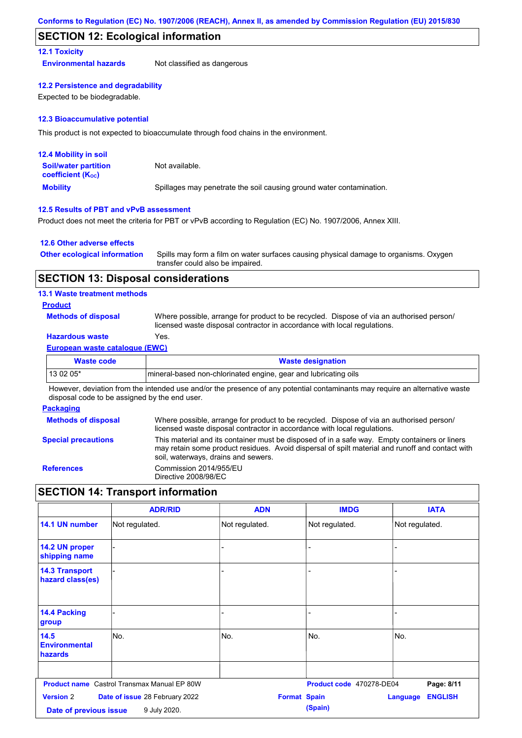### **SECTION 12: Ecological information**

#### **12.1 Toxicity**

**Environmental hazards** Not classified as dangerous

#### **12.2 Persistence and degradability**

Expected to be biodegradable.

#### **12.3 Bioaccumulative potential**

This product is not expected to bioaccumulate through food chains in the environment.

| <b>12.4 Mobility in soil</b>                                  |                                                                      |
|---------------------------------------------------------------|----------------------------------------------------------------------|
| <b>Soil/water partition</b><br>coefficient (K <sub>oc</sub> ) | Not available.                                                       |
| <b>Mobility</b>                                               | Spillages may penetrate the soil causing ground water contamination. |

#### **12.5 Results of PBT and vPvB assessment**

Product does not meet the criteria for PBT or vPvB according to Regulation (EC) No. 1907/2006, Annex XIII.

#### **12.6 Other adverse effects**

| <b>Other ecological information</b> | Spills may form a film on water surfaces causing physical damage to organisms. Oxygen |
|-------------------------------------|---------------------------------------------------------------------------------------|
|                                     | transfer could also be impaired.                                                      |

### **SECTION 13: Disposal considerations**

#### **13.1 Waste treatment methods**

#### **Product**

**Methods of disposal**

Where possible, arrange for product to be recycled. Dispose of via an authorised person/ licensed waste disposal contractor in accordance with local regulations.

### **Hazardous waste** Yes.

#### **European waste catalogue (EWC)**

| Waste code | <b>Waste designation</b>                                         |
|------------|------------------------------------------------------------------|
| $130205*$  | Imineral-based non-chlorinated engine, gear and lubricating oils |

However, deviation from the intended use and/or the presence of any potential contaminants may require an alternative waste disposal code to be assigned by the end user.

#### **Packaging**

| <b>Methods of disposal</b> | Where possible, arrange for product to be recycled. Dispose of via an authorised person/<br>licensed waste disposal contractor in accordance with local regulations.                                                                    |
|----------------------------|-----------------------------------------------------------------------------------------------------------------------------------------------------------------------------------------------------------------------------------------|
| <b>Special precautions</b> | This material and its container must be disposed of in a safe way. Empty containers or liners<br>may retain some product residues. Avoid dispersal of spilt material and runoff and contact with<br>soil, waterways, drains and sewers. |
| <b>References</b>          | Commission 2014/955/EU<br>Directive 2008/98/EC                                                                                                                                                                                          |

## **SECTION 14: Transport information**

|                                                                                                                     | <b>ADR/RID</b>                                     | <b>ADN</b>     | <b>IMDG</b>              | <b>IATA</b>                       |
|---------------------------------------------------------------------------------------------------------------------|----------------------------------------------------|----------------|--------------------------|-----------------------------------|
| 14.1 UN number                                                                                                      | Not regulated.                                     | Not regulated. | Not regulated.           | Not regulated.                    |
| 14.2 UN proper<br>shipping name                                                                                     |                                                    | ٠              |                          |                                   |
| <b>14.3 Transport</b><br>hazard class(es)                                                                           |                                                    |                |                          |                                   |
| 14.4 Packing<br>group                                                                                               |                                                    |                |                          |                                   |
| 14.5<br><b>Environmental</b><br>hazards                                                                             | lNo.                                               | No.            | No.                      | No.                               |
|                                                                                                                     | <b>Product name</b> Castrol Transmax Manual EP 80W |                | Product code 470278-DE04 | Page: 8/11                        |
| <b>Version 2</b><br>Date of issue 28 February 2022<br><b>Format Spain</b><br>9 July 2020.<br>Date of previous issue |                                                    |                | (Spain)                  | <b>ENGLISH</b><br><b>Language</b> |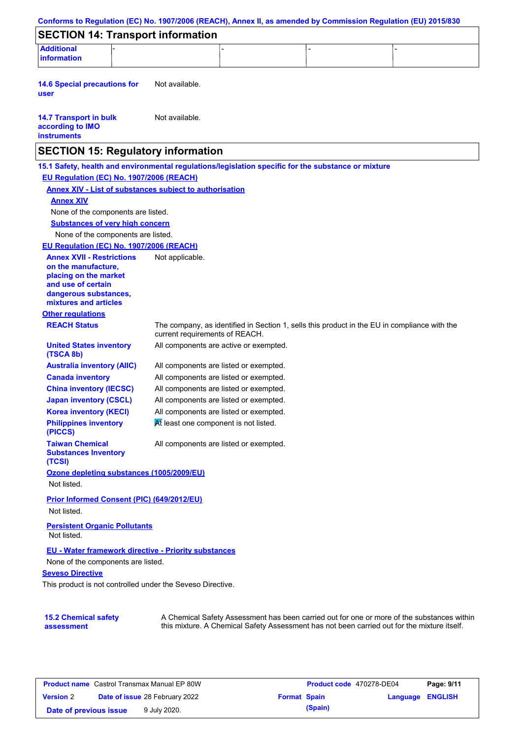| Conforms to Regulation (EC) No. 1907/2006 (REACH), Annex II, as amended by Commission Regulation (EU) 2015/830 |                                        |  |                                                                                                                                                                                           |  |
|----------------------------------------------------------------------------------------------------------------|----------------------------------------|--|-------------------------------------------------------------------------------------------------------------------------------------------------------------------------------------------|--|
| <b>SECTION 14: Transport information</b>                                                                       |                                        |  |                                                                                                                                                                                           |  |
| <b>Additional</b><br><b>information</b>                                                                        |                                        |  |                                                                                                                                                                                           |  |
|                                                                                                                |                                        |  |                                                                                                                                                                                           |  |
| <b>14.6 Special precautions for</b><br>user                                                                    | Not available.                         |  |                                                                                                                                                                                           |  |
| <b>14.7 Transport in bulk</b><br>according to IMO<br><b>instruments</b>                                        | Not available.                         |  |                                                                                                                                                                                           |  |
| <b>SECTION 15: Regulatory information</b>                                                                      |                                        |  |                                                                                                                                                                                           |  |
| 15.1 Safety, health and environmental regulations/legislation specific for the substance or mixture            |                                        |  |                                                                                                                                                                                           |  |
| EU Regulation (EC) No. 1907/2006 (REACH)                                                                       |                                        |  |                                                                                                                                                                                           |  |
| <b>Annex XIV - List of substances subject to authorisation</b>                                                 |                                        |  |                                                                                                                                                                                           |  |
| <b>Annex XIV</b>                                                                                               |                                        |  |                                                                                                                                                                                           |  |
| None of the components are listed.                                                                             |                                        |  |                                                                                                                                                                                           |  |
| <b>Substances of very high concern</b>                                                                         |                                        |  |                                                                                                                                                                                           |  |
| None of the components are listed.                                                                             |                                        |  |                                                                                                                                                                                           |  |
| EU Regulation (EC) No. 1907/2006 (REACH)                                                                       |                                        |  |                                                                                                                                                                                           |  |
| <b>Annex XVII - Restrictions</b><br>on the manufacture.<br>placing on the market<br>and use of certain         | Not applicable.                        |  |                                                                                                                                                                                           |  |
| dangerous substances,<br>mixtures and articles                                                                 |                                        |  |                                                                                                                                                                                           |  |
| <b>Other regulations</b>                                                                                       |                                        |  |                                                                                                                                                                                           |  |
| <b>REACH Status</b>                                                                                            | current requirements of REACH.         |  | The company, as identified in Section 1, sells this product in the EU in compliance with the                                                                                              |  |
| <b>United States inventory</b><br>(TSCA 8b)                                                                    | All components are active or exempted. |  |                                                                                                                                                                                           |  |
| <b>Australia inventory (AIIC)</b>                                                                              | All components are listed or exempted. |  |                                                                                                                                                                                           |  |
| <b>Canada inventory</b>                                                                                        | All components are listed or exempted. |  |                                                                                                                                                                                           |  |
| <b>China inventory (IECSC)</b>                                                                                 | All components are listed or exempted. |  |                                                                                                                                                                                           |  |
| <b>Japan inventory (CSCL)</b>                                                                                  | All components are listed or exempted. |  |                                                                                                                                                                                           |  |
| <b>Korea inventory (KECI)</b>                                                                                  | All components are listed or exempted. |  |                                                                                                                                                                                           |  |
| <b>Philippines inventory</b><br>(PICCS)                                                                        | At least one component is not listed.  |  |                                                                                                                                                                                           |  |
| <b>Taiwan Chemical</b><br><b>Substances Inventory</b><br>(TCSI)                                                | All components are listed or exempted. |  |                                                                                                                                                                                           |  |
| Ozone depleting substances (1005/2009/EU)                                                                      |                                        |  |                                                                                                                                                                                           |  |
| Not listed.                                                                                                    |                                        |  |                                                                                                                                                                                           |  |
| Prior Informed Consent (PIC) (649/2012/EU)                                                                     |                                        |  |                                                                                                                                                                                           |  |
| Not listed.                                                                                                    |                                        |  |                                                                                                                                                                                           |  |
| <b>Persistent Organic Pollutants</b><br>Not listed.                                                            |                                        |  |                                                                                                                                                                                           |  |
| EU - Water framework directive - Priority substances                                                           |                                        |  |                                                                                                                                                                                           |  |
| None of the components are listed.                                                                             |                                        |  |                                                                                                                                                                                           |  |
| <b>Seveso Directive</b>                                                                                        |                                        |  |                                                                                                                                                                                           |  |
| This product is not controlled under the Seveso Directive.                                                     |                                        |  |                                                                                                                                                                                           |  |
|                                                                                                                |                                        |  |                                                                                                                                                                                           |  |
| <b>15.2 Chemical safety</b><br>assessment                                                                      |                                        |  | A Chemical Safety Assessment has been carried out for one or more of the substances within<br>this mixture. A Chemical Safety Assessment has not been carried out for the mixture itself. |  |

| <b>Product name</b> Castrol Transmax Manual EP 80W |  | Product code 470278-DE04              |                     | Page: 9/11 |                         |  |
|----------------------------------------------------|--|---------------------------------------|---------------------|------------|-------------------------|--|
| <b>Version 2</b>                                   |  | <b>Date of issue 28 February 2022</b> | <b>Format Spain</b> |            | <b>Language ENGLISH</b> |  |
| Date of previous issue                             |  | 9 July 2020.                          |                     | (Spain)    |                         |  |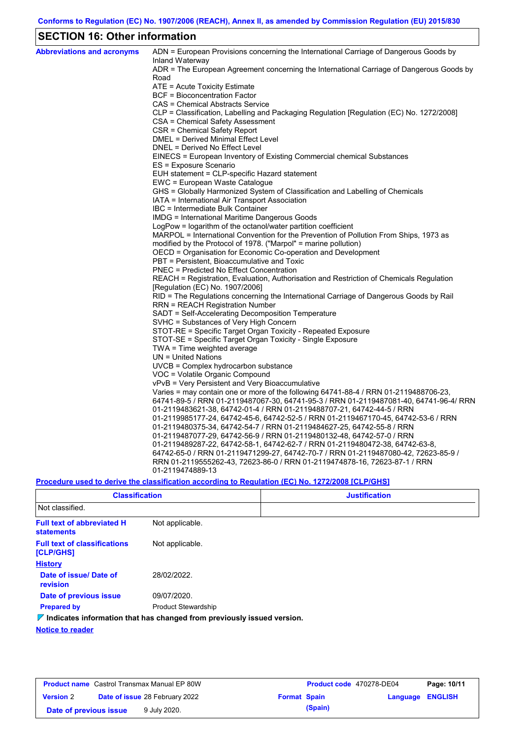## **SECTION 16: Other information**

| <b>Abbreviations and acronyms</b> | ADN = European Provisions concerning the International Carriage of Dangerous Goods by<br>Inland Waterway |
|-----------------------------------|----------------------------------------------------------------------------------------------------------|
|                                   | ADR = The European Agreement concerning the International Carriage of Dangerous Goods by<br>Road         |
|                                   | ATE = Acute Toxicity Estimate                                                                            |
|                                   | <b>BCF</b> = Bioconcentration Factor                                                                     |
|                                   | CAS = Chemical Abstracts Service                                                                         |
|                                   | CLP = Classification, Labelling and Packaging Regulation [Regulation (EC) No. 1272/2008]                 |
|                                   | CSA = Chemical Safety Assessment                                                                         |
|                                   | CSR = Chemical Safety Report                                                                             |
|                                   | <b>DMEL = Derived Minimal Effect Level</b>                                                               |
|                                   | DNEL = Derived No Effect Level                                                                           |
|                                   | EINECS = European Inventory of Existing Commercial chemical Substances                                   |
|                                   | ES = Exposure Scenario                                                                                   |
|                                   | EUH statement = CLP-specific Hazard statement                                                            |
|                                   | EWC = European Waste Catalogue                                                                           |
|                                   | GHS = Globally Harmonized System of Classification and Labelling of Chemicals                            |
|                                   | IATA = International Air Transport Association                                                           |
|                                   | IBC = Intermediate Bulk Container                                                                        |
|                                   | IMDG = International Maritime Dangerous Goods                                                            |
|                                   | LogPow = logarithm of the octanol/water partition coefficient                                            |
|                                   | MARPOL = International Convention for the Prevention of Pollution From Ships, 1973 as                    |
|                                   | modified by the Protocol of 1978. ("Marpol" = marine pollution)                                          |
|                                   | OECD = Organisation for Economic Co-operation and Development                                            |
|                                   | PBT = Persistent, Bioaccumulative and Toxic                                                              |
|                                   | <b>PNEC</b> = Predicted No Effect Concentration                                                          |
|                                   | REACH = Registration, Evaluation, Authorisation and Restriction of Chemicals Regulation                  |
|                                   | [Regulation (EC) No. 1907/2006]                                                                          |
|                                   | RID = The Regulations concerning the International Carriage of Dangerous Goods by Rail                   |
|                                   | <b>RRN = REACH Registration Number</b><br>SADT = Self-Accelerating Decomposition Temperature             |
|                                   | SVHC = Substances of Very High Concern                                                                   |
|                                   | STOT-RE = Specific Target Organ Toxicity - Repeated Exposure                                             |
|                                   | STOT-SE = Specific Target Organ Toxicity - Single Exposure                                               |
|                                   | TWA = Time weighted average                                                                              |
|                                   | $UN = United Nations$                                                                                    |
|                                   | $UVCB = Complex\;hydrocarbon\; substance$                                                                |
|                                   | VOC = Volatile Organic Compound                                                                          |
|                                   | vPvB = Very Persistent and Very Bioaccumulative                                                          |
|                                   | Varies = may contain one or more of the following $64741-88-4$ / RRN 01-2119488706-23,                   |
|                                   | 64741-89-5 / RRN 01-2119487067-30, 64741-95-3 / RRN 01-2119487081-40, 64741-96-4/ RRN                    |
|                                   | 01-2119483621-38, 64742-01-4 / RRN 01-2119488707-21, 64742-44-5 / RRN                                    |
|                                   | 01-2119985177-24, 64742-45-6, 64742-52-5 / RRN 01-2119467170-45, 64742-53-6 / RRN                        |
|                                   | 01-2119480375-34, 64742-54-7 / RRN 01-2119484627-25, 64742-55-8 / RRN                                    |
|                                   | 01-2119487077-29, 64742-56-9 / RRN 01-2119480132-48, 64742-57-0 / RRN                                    |
|                                   | 01-2119489287-22, 64742-58-1, 64742-62-7 / RRN 01-2119480472-38, 64742-63-8,                             |
|                                   | 64742-65-0 / RRN 01-2119471299-27, 64742-70-7 / RRN 01-2119487080-42, 72623-85-9 /                       |
|                                   | RRN 01-2119555262-43, 72623-86-0 / RRN 01-2119474878-16, 72623-87-1 / RRN                                |
|                                   | 01-2119474889-13                                                                                         |
|                                   |                                                                                                          |

### **Procedure used to derive the classification according to Regulation (EC) No. 1272/2008 [CLP/GHS]**

| <b>Classification</b>                                  |                                                                                 | <b>Justification</b> |
|--------------------------------------------------------|---------------------------------------------------------------------------------|----------------------|
| Not classified.                                        |                                                                                 |                      |
| <b>Full text of abbreviated H</b><br><b>statements</b> | Not applicable.                                                                 |                      |
| <b>Full text of classifications</b><br>[CLP/GHS]       | Not applicable.                                                                 |                      |
| <b>History</b>                                         |                                                                                 |                      |
| Date of issue/Date of<br>revision                      | 28/02/2022.                                                                     |                      |
| Date of previous issue                                 | 09/07/2020.                                                                     |                      |
| <b>Prepared by</b>                                     | <b>Product Stewardship</b>                                                      |                      |
|                                                        | $\nabla$ Indicates information that has changed from previously issued version. |                      |
| <b>Notice to reader</b>                                |                                                                                 |                      |

| <b>Product name</b> Castrol Transmax Manual EP 80W |                                       | <b>Product code</b> 470278-DE04 |                     | Page: 10/11 |                  |  |
|----------------------------------------------------|---------------------------------------|---------------------------------|---------------------|-------------|------------------|--|
| <b>Version 2</b>                                   | <b>Date of issue 28 February 2022</b> |                                 | <b>Format Spain</b> |             | Language ENGLISH |  |
| Date of previous issue                             |                                       | 9 July 2020.                    |                     | (Spain)     |                  |  |